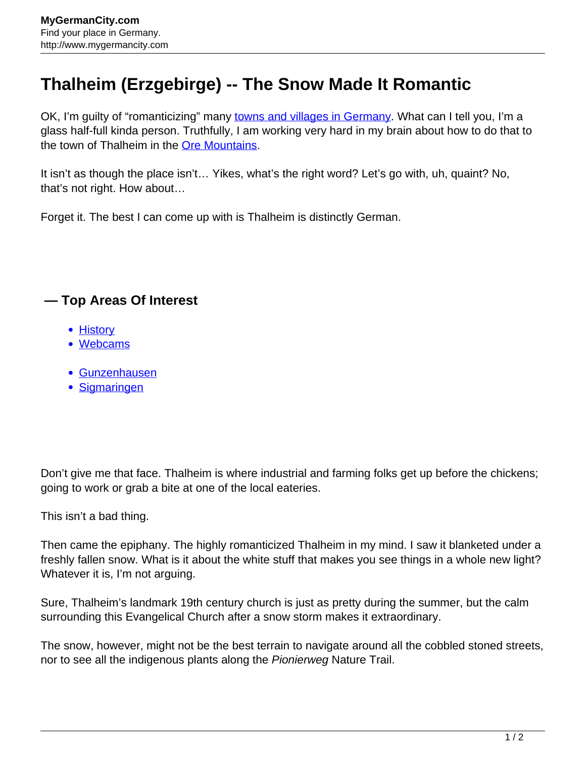## **Thalheim (Erzgebirge) -- The Snow Made It Romantic**

OK, I'm guilty of "romanticizing" many [towns and villages in Germany.](http://www.mygermancity.com/german-cities) What can I tell you, I'm a glass half-full kinda person. Truthfully, I am working very hard in my brain about how to do that to the town of Thalheim in the [Ore Mountains.](http://www.mygermancity.com/ore-mountains)

It isn't as though the place isn't… Yikes, what's the right word? Let's go with, uh, quaint? No, that's not right. How about…

Forget it. The best I can come up with is Thalheim is distinctly German.

## **— Top Areas Of Interest**

- **[History](http://www.mygermancity.com/leipzig-history)**
- [Webcams](http://www.mygermancity.com/neustadt-holstein-webcams)
- [Gunzenhausen](http://www.mygermancity.com/gunzenhausen)
- [Sigmaringen](http://www.mygermancity.com/sigmaringen)

Don't give me that face. Thalheim is where industrial and farming folks get up before the chickens; going to work or grab a bite at one of the local eateries.

This isn't a bad thing.

Then came the epiphany. The highly romanticized Thalheim in my mind. I saw it blanketed under a freshly fallen snow. What is it about the white stuff that makes you see things in a whole new light? Whatever it is, I'm not arguing.

Sure, Thalheim's landmark 19th century church is just as pretty during the summer, but the calm surrounding this Evangelical Church after a snow storm makes it extraordinary.

The snow, however, might not be the best terrain to navigate around all the cobbled stoned streets, nor to see all the indigenous plants along the Pionierweg Nature Trail.